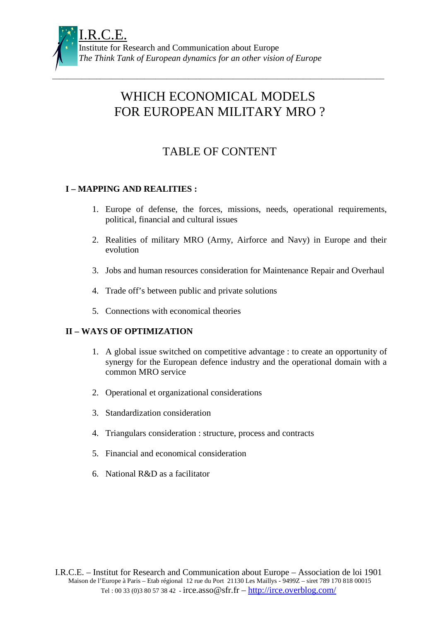

# WHICH ECONOMICAL MODELS FOR EUROPEAN MILITARY MRO ?

\_\_\_\_\_\_\_\_\_\_\_\_\_\_\_\_\_\_\_\_\_\_\_\_\_\_\_\_\_\_\_\_\_\_\_\_\_\_\_\_\_\_\_\_\_\_\_\_\_\_\_\_\_\_\_\_\_\_\_\_\_\_\_\_\_\_\_\_\_\_\_\_\_\_\_\_\_\_\_\_\_\_\_\_\_\_\_\_\_\_

## TABLE OF CONTENT

## **I – MAPPING AND REALITIES :**

- 1. Europe of defense, the forces, missions, needs, operational requirements, political, financial and cultural issues
- 2. Realities of military MRO (Army, Airforce and Navy) in Europe and their evolution
- 3. Jobs and human resources consideration for Maintenance Repair and Overhaul
- 4. Trade off's between public and private solutions
- 5. Connections with economical theories

## **II – WAYS OF OPTIMIZATION**

- 1. A global issue switched on competitive advantage : to create an opportunity of synergy for the European defence industry and the operational domain with a common MRO service
- 2. Operational et organizational considerations
- 3. Standardization consideration
- 4. Triangulars consideration : structure, process and contracts
- 5. Financial and economical consideration
- 6. National R&D as a facilitator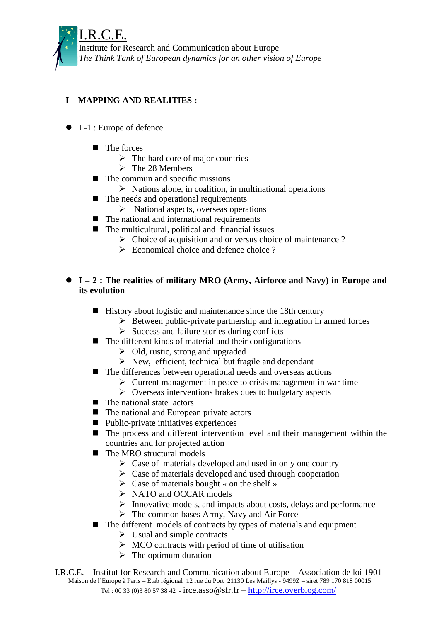## **I – MAPPING AND REALITIES :**

- I-1 : Europe of defence
	- **The forces** 
		- $\triangleright$  The hard core of major countries
		- $\triangleright$  The 28 Members
	- The commun and specific missions
		- $\triangleright$  Nations alone, in coalition, in multinational operations

\_\_\_\_\_\_\_\_\_\_\_\_\_\_\_\_\_\_\_\_\_\_\_\_\_\_\_\_\_\_\_\_\_\_\_\_\_\_\_\_\_\_\_\_\_\_\_\_\_\_\_\_\_\_\_\_\_\_\_\_\_\_\_\_\_\_\_\_\_\_\_\_\_\_\_\_\_\_\_\_\_\_\_\_\_\_\_\_\_\_

- The needs and operational requirements
	- $\triangleright$  National aspects, overseas operations
- The national and international requirements
- The multicultural, political and financial issues
	- $\triangleright$  Choice of acquisition and or versus choice of maintenance ?
	- $\triangleright$  Economical choice and defence choice ?
- **I 2 : The realities of military MRO (Army, Airforce and Navy) in Europe and its evolution**
	- History about logistic and maintenance since the 18th century
		- $\triangleright$  Between public-private partnership and integration in armed forces
		- $\triangleright$  Success and failure stories during conflicts
	- The different kinds of material and their configurations
		- $\triangleright$  Old, rustic, strong and upgraded
		- $\triangleright$  New, efficient, technical but fragile and dependant
	- The differences between operational needs and overseas actions
		- $\triangleright$  Current management in peace to crisis management in war time
		- $\triangleright$  Overseas interventions brakes dues to budgetary aspects
	- **The national state actors**
	- The national and European private actors
	- Public-private initiatives experiences
	- The process and different intervention level and their management within the countries and for projected action
	- The MRO structural models
		- $\triangleright$  Case of materials developed and used in only one country
		- $\triangleright$  Case of materials developed and used through cooperation
		- $\triangleright$  Case of materials bought « on the shelf »
		- $\triangleright$  NATO and OCCAR models
		- $\triangleright$  Innovative models, and impacts about costs, delays and performance
		- $\triangleright$  The common bases Army, Navy and Air Force
	- The different models of contracts by types of materials and equipment
		- $\triangleright$  Usual and simple contracts
		- $\triangleright$  MCO contracts with period of time of utilisation
		- $\triangleright$  The optimum duration
- I.R.C.E. Institut for Research and Communication about Europe Association de loi 1901 Maison de l'Europe à Paris – Etab régional 12 rue du Port 21130 Les Maillys - 9499Z – siret 789 170 818 00015 Tel: 00 33 (0)3 80 57 38 42 - irce.asso $\circ$ sfr.fr – http://irce.overblog.com/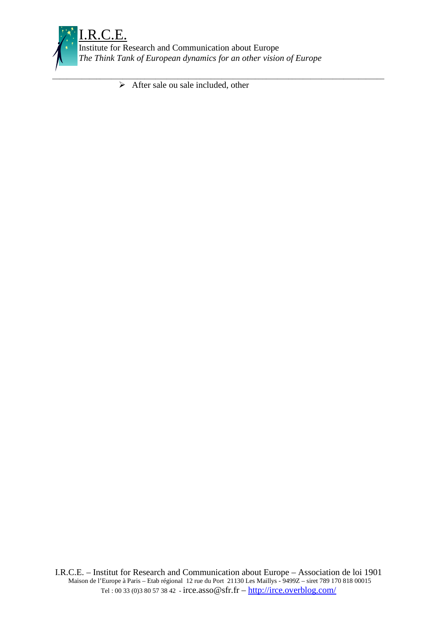

Institute for Research and Communication about Europe *The Think Tank of European dynamics for an other vision of Europe*

\_\_\_\_\_\_\_\_\_\_\_\_\_\_\_\_\_\_\_\_\_\_\_\_\_\_\_\_\_\_\_\_\_\_\_\_\_\_\_\_\_\_\_\_\_\_\_\_\_\_\_\_\_\_\_\_\_\_\_\_\_\_\_\_\_\_\_\_\_\_\_\_\_\_\_\_\_\_\_\_\_\_\_\_\_\_\_\_\_\_

 $\triangleright$  After sale ou sale included, other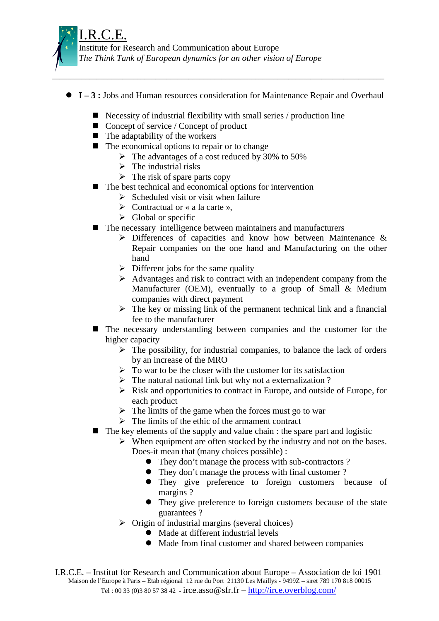

- **I 3 :** Jobs and Human resources consideration for Maintenance Repair and Overhaul
	- **E** Necessity of industrial flexibility with small series / production line

\_\_\_\_\_\_\_\_\_\_\_\_\_\_\_\_\_\_\_\_\_\_\_\_\_\_\_\_\_\_\_\_\_\_\_\_\_\_\_\_\_\_\_\_\_\_\_\_\_\_\_\_\_\_\_\_\_\_\_\_\_\_\_\_\_\_\_\_\_\_\_\_\_\_\_\_\_\_\_\_\_\_\_\_\_\_\_\_\_\_

- Concept of service / Concept of product
- The adaptability of the workers
- The economical options to repair or to change
	- The advantages of a cost reduced by 30% to 50%
	- $\triangleright$  The industrial risks
	- $\triangleright$  The risk of spare parts copy
- The best technical and economical options for intervention
	- $\triangleright$  Scheduled visit or visit when failure
	- $\triangleright$  Contractual or « a la carte ».
	- $\triangleright$  Global or specific
- The necessary intelligence between maintainers and manufacturers
	- $\triangleright$  Differences of capacities and know how between Maintenance & Repair companies on the one hand and Manufacturing on the other hand
	- $\triangleright$  Different jobs for the same quality
	- $\triangleright$  Advantages and risk to contract with an independent company from the Manufacturer (OEM), eventually to a group of Small & Medium companies with direct payment
	- $\triangleright$  The key or missing link of the permanent technical link and a financial fee to the manufacturer
- - The necessary understanding between companies and the customer for the higher capacity
	- $\triangleright$  The possibility, for industrial companies, to balance the lack of orders by an increase of the MRO
	- $\triangleright$  To war to be the closer with the customer for its satisfaction
	- $\triangleright$  The natural national link but why not a externalization ?
	- $\triangleright$  Risk and opportunities to contract in Europe, and outside of Europe, for each product
	- $\triangleright$  The limits of the game when the forces must go to war
	- $\triangleright$  The limits of the ethic of the armament contract
- The key elements of the supply and value chain : the spare part and logistic
	- $\triangleright$  When equipment are often stocked by the industry and not on the bases. Does-it mean that (many choices possible) :
		- They don't manage the process with sub-contractors ?
		- They don't manage the process with final customer?
		- They give preference to foreign customers because of margins ?
		- They give preference to foreign customers because of the state guarantees ?
	- $\triangleright$  Origin of industrial margins (several choices)
		- Made at different industrial levels
		- Made from final customer and shared between companies

I.R.C.E. – Institut for Research and Communication about Europe – Association de loi 1901 Maison de l'Europe à Paris – Etab régional 12 rue du Port 21130 Les Maillys - 9499Z – siret 789 170 818 00015 Tel: 00 33 (0)3 80 57 38 42 - irce.asso $\circ$ sfr.fr – http://irce.overblog.com/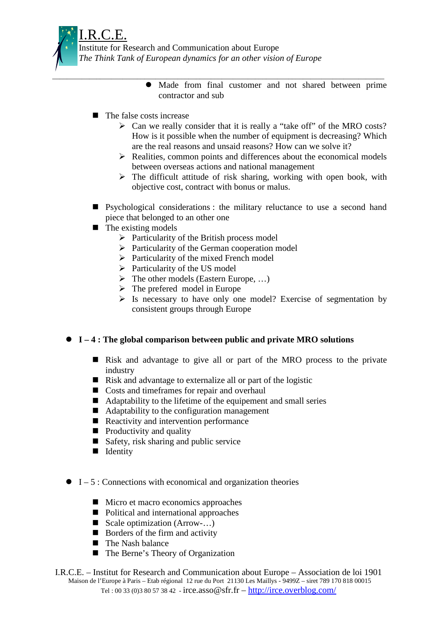

- \_\_\_\_\_\_\_\_\_\_\_\_\_\_\_\_\_\_\_\_\_\_\_\_\_\_\_\_\_\_\_\_\_\_\_\_\_\_\_\_\_\_\_\_\_\_\_\_\_\_\_\_\_\_\_\_\_\_\_\_\_\_\_\_\_\_\_\_\_\_\_\_\_\_\_\_\_\_\_\_\_\_\_\_\_\_\_\_\_\_ Made from final customer and not shared between prime contractor and sub
	- **The false costs increase** 
		- $\triangleright$  Can we really consider that it is really a "take off" of the MRO costs? How is it possible when the number of equipment is decreasing? Which are the real reasons and unsaid reasons? How can we solve it?
		- $\triangleright$  Realities, common points and differences about the economical models between overseas actions and national management
		- $\triangleright$  The difficult attitude of risk sharing, working with open book, with objective cost, contract with bonus or malus.
	- **E** Psychological considerations : the military reluctance to use a second hand piece that belonged to an other one
	- The existing models
		- $\triangleright$  Particularity of the British process model
		- $\triangleright$  Particularity of the German cooperation model
		- $\triangleright$  Particularity of the mixed French model
		- $\triangleright$  Particularity of the US model
		- $\triangleright$  The other models (Eastern Europe, ...)
		- $\triangleright$  The prefered model in Europe
		- $\triangleright$  Is necessary to have only one model? Exercise of segmentation by consistent groups through Europe

## **I – 4 : The global comparison between public and private MRO solutions**

- Risk and advantage to give all or part of the MRO process to the private industry
- Risk and advantage to externalize all or part of the logistic
- Costs and timeframes for repair and overhaul
- Adaptability to the lifetime of the equipement and small series
- Adaptability to the configuration management
- Reactivity and intervention performance
- **Productivity and quality**
- Safety, risk sharing and public service
- **I** Identity
- $\bullet$  I 5 : Connections with economical and organization theories
	- Micro et macro economics approaches
	- Political and international approaches
	- Scale optimization (Arrow-...)
	- **Borders of the firm and activity**
	- **The Nash balance**
	- The Berne's Theory of Organization
- I.R.C.E. Institut for Research and Communication about Europe Association de loi 1901 Maison de l'Europe à Paris – Etab régional 12 rue du Port 21130 Les Maillys - 9499Z – siret 789 170 818 00015 Tel: 00 33 (0)3 80 57 38 42 - irce.asso $\circ$ sfr.fr – http://irce.overblog.com/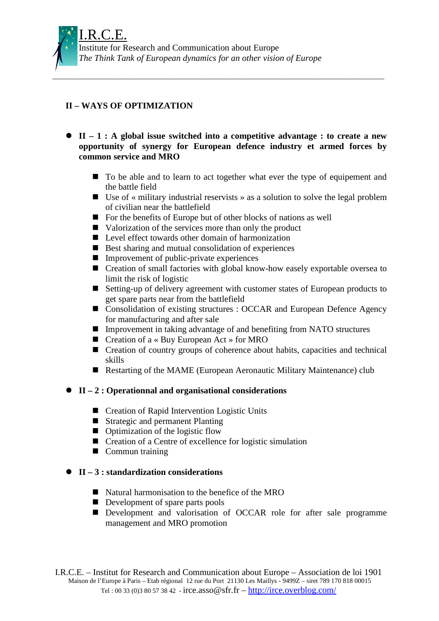## **II – WAYS OF OPTIMIZATION**

 **II – 1 : A global issue switched into a competitive advantage : to create a new opportunity of synergy for European defence industry et armed forces by common service and MRO**

\_\_\_\_\_\_\_\_\_\_\_\_\_\_\_\_\_\_\_\_\_\_\_\_\_\_\_\_\_\_\_\_\_\_\_\_\_\_\_\_\_\_\_\_\_\_\_\_\_\_\_\_\_\_\_\_\_\_\_\_\_\_\_\_\_\_\_\_\_\_\_\_\_\_\_\_\_\_\_\_\_\_\_\_\_\_\_\_\_\_

- $\blacksquare$  To be able and to learn to act together what ever the type of equipement and the battle field
- Use of « military industrial reservists » as a solution to solve the legal problem of civilian near the battlefield
- For the benefits of Europe but of other blocks of nations as well
- Valorization of the services more than only the product
- **Level effect towards other domain of harmonization**
- Best sharing and mutual consolidation of experiences
- **Improvement of public-private experiences**
- Creation of small factories with global know-how easely exportable oversea to limit the risk of logistic
- Setting-up of delivery agreement with customer states of European products to get spare parts near from the battlefield
- Consolidation of existing structures : OCCAR and European Defence Agency for manufacturing and after sale
- Improvement in taking advantage of and benefiting from NATO structures
- Creation of a « Buy European Act » for MRO
- Creation of country groups of coherence about habits, capacities and technical skills
- Restarting of the MAME (European Aeronautic Military Maintenance) club

## **II – 2 : Operationnal and organisational considerations**

- Creation of Rapid Intervention Logistic Units
- **E** Strategic and permanent Planting
- **Optimization of the logistic flow**
- Creation of a Centre of excellence for logistic simulation
- **Commun training**

## **II – 3 : standardization considerations**

- Natural harmonisation to the benefice of the MRO
- **Development of spare parts pools**
- Development and valorisation of OCCAR role for after sale programme management and MRO promotion

I.R.C.E. – Institut for Research and Communication about Europe – Association de loi 1901 Maison de l'Europe à Paris – Etab régional 12 rue du Port 21130 Les Maillys - 9499Z – siret 789 170 818 00015 Tel: 00 33 (0)3 80 57 38 42 - irce.asso $\circ$ sfr.fr – http://irce.overblog.com/